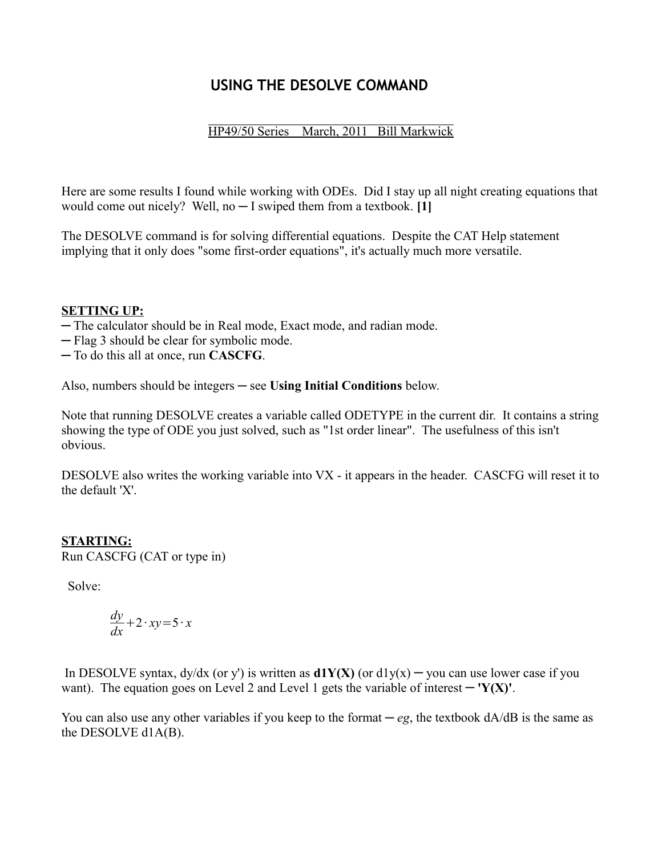# **USING THE DESOLVE COMMAND**

# HP49/50 Series March, 2011 Bill Markwick

Here are some results I found while working with ODEs. Did I stay up all night creating equations that would come out nicely? Well, no ─ I swiped them from a textbook. **[1]**

The DESOLVE command is for solving differential equations. Despite the CAT Help statement implying that it only does "some first-order equations", it's actually much more versatile.

# **SETTING UP:**

- ─ The calculator should be in Real mode, Exact mode, and radian mode.
- ─ Flag 3 should be clear for symbolic mode.

─ To do this all at once, run **CASCFG**.

Also, numbers should be integers ─ see **Using Initial Conditions** below.

Note that running DESOLVE creates a variable called ODETYPE in the current dir. It contains a string showing the type of ODE you just solved, such as "1st order linear". The usefulness of this isn't obvious.

DESOLVE also writes the working variable into VX - it appears in the header. CASCFG will reset it to the default 'X'.

# **STARTING:**

Run CASCFG (CAT or type in)

Solve:

$$
\frac{dy}{dx} + 2 \cdot xy = 5 \cdot x
$$

In DESOLVE syntax,  $dy/dx$  (or y') is written as  $d1Y(X)$  (or  $d1y(x) - y$ ou can use lower case if you want). The equation goes on Level 2 and Level 1 gets the variable of interest  $-$  **'Y(X)'**.

You can also use any other variables if you keep to the format  $-eg$ , the textbook  $dA/dB$  is the same as the DESOLVE d1A(B).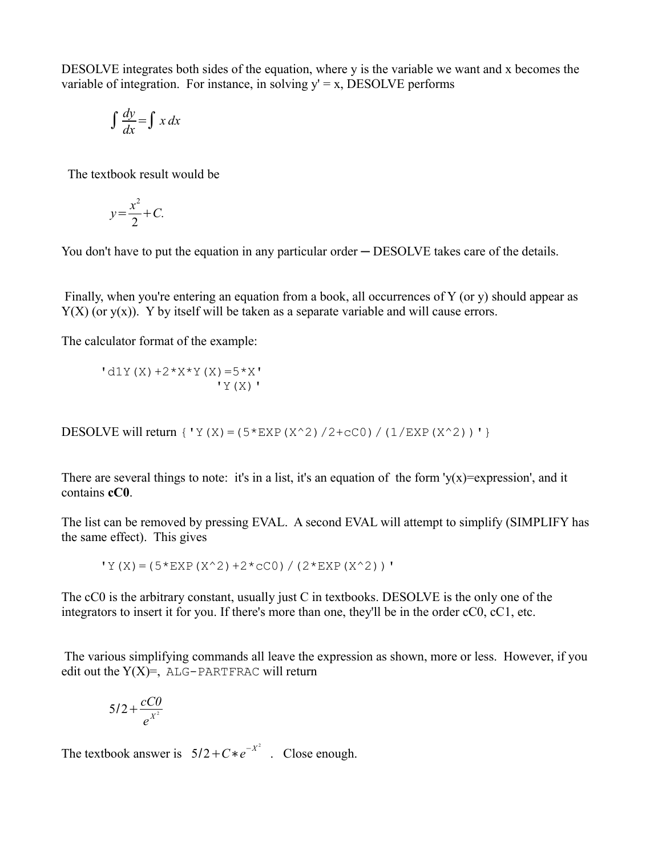DESOLVE integrates both sides of the equation, where y is the variable we want and x becomes the variable of integration. For instance, in solving  $y' = x$ , DESOLVE performs

$$
\int \frac{dy}{dx} = \int x \, dx
$$

The textbook result would be

$$
y = \frac{x^2}{2} + C.
$$

You don't have to put the equation in any particular order — DESOLVE takes care of the details.

Finally, when you're entering an equation from a book, all occurrences of  $Y$  (or y) should appear as  $Y(X)$  (or  $y(x)$ ). Y by itself will be taken as a separate variable and will cause errors.

The calculator format of the example:

 $'d1Y(X) +2*X*Y(X)=5*X'$  $'Y(X)'$ 

DESOLVE will return  $\{Y(X)=(5*EXP(X^2)/2+CC0)/(1/EXP(X^2))'\}$ 

There are several things to note: it's in a list, it's an equation of the form ' $y(x)$ =expression', and it contains **cC0**.

The list can be removed by pressing EVAL. A second EVAL will attempt to simplify (SIMPLIFY has the same effect). This gives

 $'Y(X) = (5*EXP(X^2)+2*CC0) / (2*EXP(X^2))'$ 

The cC0 is the arbitrary constant, usually just C in textbooks. DESOLVE is the only one of the integrators to insert it for you. If there's more than one, they'll be in the order cC0, cC1, etc.

 The various simplifying commands all leave the expression as shown, more or less. However, if you edit out the  $Y(X) =$ , ALG-PARTFRAC will return

$$
5/2+\frac{cC0}{e^{x^2}}
$$

The textbook answer is  $5/2 + C * e^{-X^2}$ . Close enough.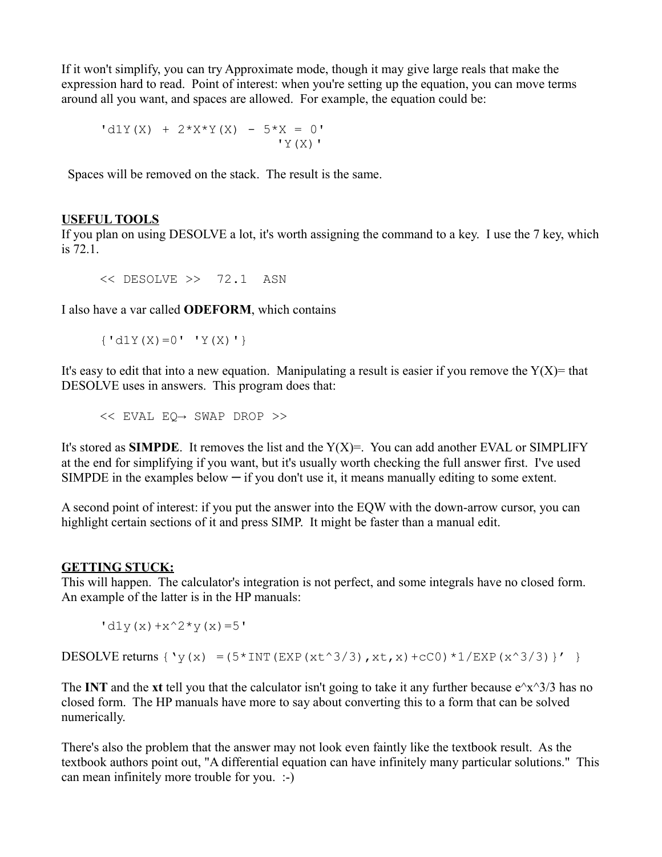If it won't simplify, you can try Approximate mode, though it may give large reals that make the expression hard to read. Point of interest: when you're setting up the equation, you can move terms around all you want, and spaces are allowed. For example, the equation could be:

$$
d1Y(X) + 2*X*Y(X) - 5*X = 0'
$$
  
'Y(X)

Spaces will be removed on the stack. The result is the same.

## **USEFUL TOOLS**

If you plan on using DESOLVE a lot, it's worth assigning the command to a key. I use the 7 key, which is 72.1.

```
<< DESOLVE >> 72.1 ASN
```
I also have a var called **ODEFORM**, which contains

```
\{ 'd1Y(X)=0' ' Y(X) '\}
```
It's easy to edit that into a new equation. Manipulating a result is easier if you remove the  $Y(X)$ = that DESOLVE uses in answers. This program does that:

<< EVAL EQ→ SWAP DROP >>

It's stored as **SIMPDE**. It removes the list and the  $Y(X) =$ . You can add another EVAL or SIMPLIFY at the end for simplifying if you want, but it's usually worth checking the full answer first. I've used SIMPDE in the examples below  $\overline{-}$  if you don't use it, it means manually editing to some extent.

A second point of interest: if you put the answer into the EQW with the down-arrow cursor, you can highlight certain sections of it and press SIMP. It might be faster than a manual edit.

## **GETTING STUCK:**

This will happen. The calculator's integration is not perfect, and some integrals have no closed form. An example of the latter is in the HP manuals:

 $'d1y(x)+x^2+y(x)=5'$ 

DESOLVE returns  $\{y(x) = (5 \times \text{INT}(\text{EXP}(x t^3/3), x t, x) + cC0) *1/\text{EXP}(x^3/3)\}$ ' }

The **INT** and the **xt** tell you that the calculator isn't going to take it any further because  $e^{\lambda}x^{\lambda}3/3$  has no closed form. The HP manuals have more to say about converting this to a form that can be solved numerically.

There's also the problem that the answer may not look even faintly like the textbook result. As the textbook authors point out, "A differential equation can have infinitely many particular solutions." This can mean infinitely more trouble for you. :-)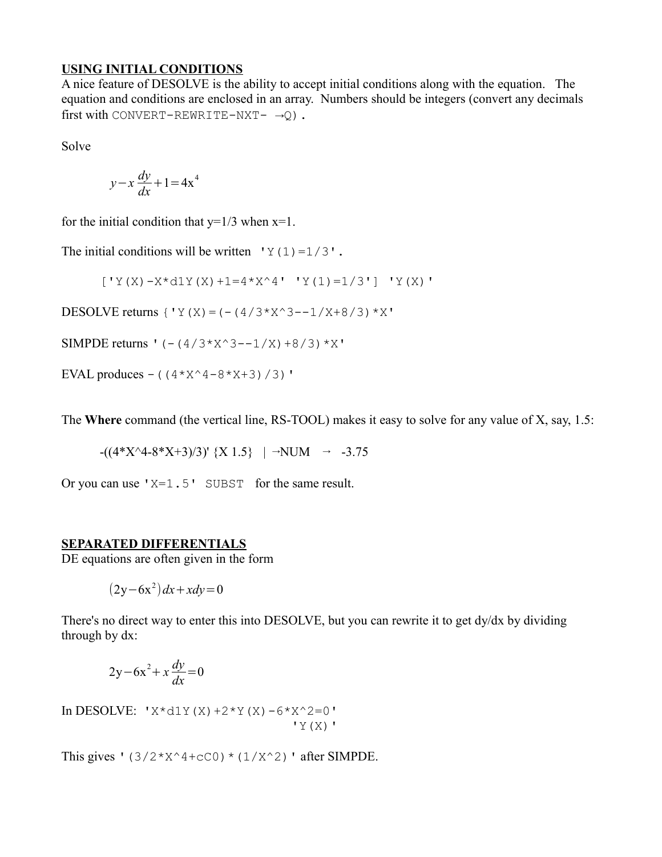#### **USING INITIAL CONDITIONS**

A nice feature of DESOLVE is the ability to accept initial conditions along with the equation. The equation and conditions are enclosed in an array. Numbers should be integers (convert any decimals first with CONVERT-REWRITE-NXT-  $\rightarrow Q$ ).

Solve

$$
y - x \frac{dy}{dx} + 1 = 4x^4
$$

for the initial condition that  $y=1/3$  when  $x=1$ .

The initial conditions will be written  $'Y(1)=1/3'$ .

 $[YY(X)-X*d1Y(X)+1=4*X^4' ' Y(1)=1/3'] 'Y(X)'$ 

DESOLVE returns  ${YY(X) = (-4/3*X^3 - -1/X + 8/3) *X'}$ 

SIMPDE returns '  $(- (4/3*x<sup>2</sup>-1/X)+8/3)*X'$ 

EVAL produces – ( $(4*X^4-8*X+3)/3$ )'

The **Where** command (the vertical line, RS-TOOL) makes it easy to solve for any value of X, say, 1.5:

$$
-( (4*X^4-8*X+3)/3)' \{X 1.5\}
$$
 |  $\rightarrow$  NUM  $\rightarrow$  -3.75

Or you can use  $X=1.5'$  SUBST for the same result.

## **SEPARATED DIFFERENTIALS**

DE equations are often given in the form

$$
(2y-6x^2) dx + x dy = 0
$$

There's no direct way to enter this into DESOLVE, but you can rewrite it to get dy/dx by dividing through by dx:

$$
2y - 6x^2 + x\frac{dy}{dx} = 0
$$

In DESOLVE:  $Y \times d1Y(X) + 2 \times Y(X) - 6 \times X^2 = 0'$  $'Y(X)'$ 

This gives '( $3/2*x^4+cc0$ ) \* ( $1/X^2$ ) ' after SIMPDE.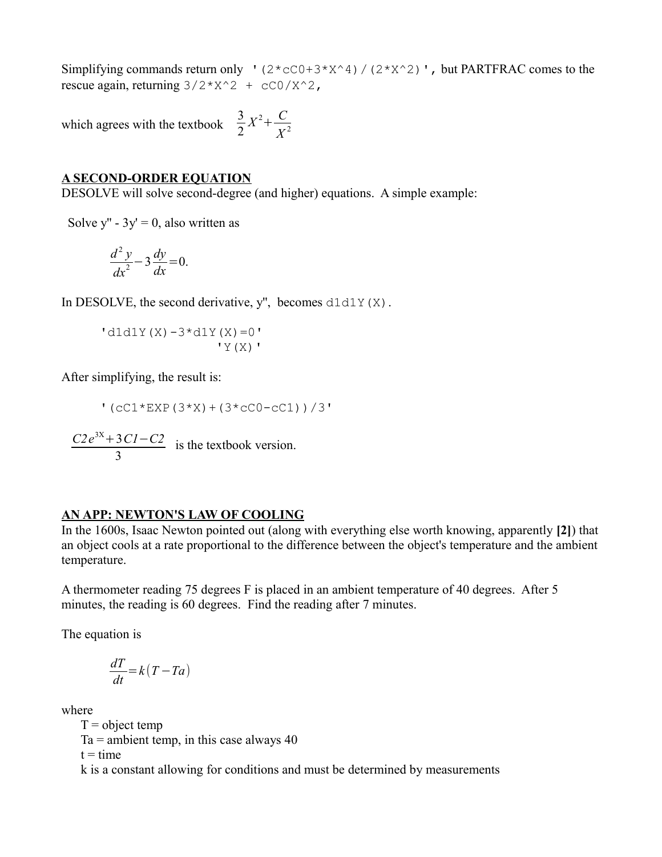Simplifying commands return only '(2\*cC0+3\*X^4)/(2\*X^2)', but PARTFRAC comes to the rescue again, returning  $3/2 \times x^2 + cC_0 / x^2$ ,

which agrees with the textbook 3 2  $X^2 + C$ *X* 2

# **A SECOND-ORDER EQUATION**

DESOLVE will solve second-degree (and higher) equations. A simple example:

Solve y'' -  $3y' = 0$ , also written as

$$
\frac{d^2y}{dx^2} - 3\frac{dy}{dx} = 0.
$$

In DESOLVE, the second derivative, y'', becomes  $d1d1Y(X)$ .

 $'d1d1Y(X)-3*d1Y(X)=0'$  $'Y(X)'$ 

After simplifying, the result is:

 $!(cC1*EXP(3*X)+(3*cC0-cC1))/3"$ 

*C2e* 3X+3*C1*−*C2* 3 is the textbook version.

#### **AN APP: NEWTON'S LAW OF COOLING**

In the 1600s, Isaac Newton pointed out (along with everything else worth knowing, apparently **[2]**) that an object cools at a rate proportional to the difference between the object's temperature and the ambient temperature.

A thermometer reading 75 degrees F is placed in an ambient temperature of 40 degrees. After 5 minutes, the reading is 60 degrees. Find the reading after 7 minutes.

The equation is

$$
\frac{dT}{dt} = k(T - Ta)
$$

where

 $T =$ object temp

 $Ta =$  ambient temp, in this case always 40

 $t = time$ 

k is a constant allowing for conditions and must be determined by measurements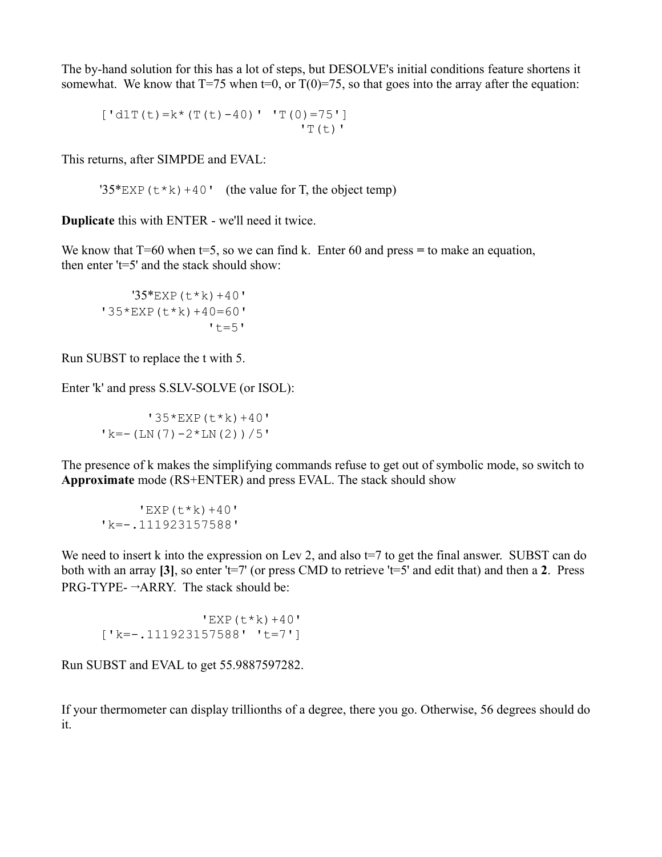The by-hand solution for this has a lot of steps, but DESOLVE's initial conditions feature shortens it somewhat. We know that  $T=75$  when  $t=0$ , or  $T(0)=75$ , so that goes into the array after the equation:

 $[ 'd1T(t)=k*(T(t)-40) ' 'T(0)=75' ]$ 'T(t)'

This returns, after SIMPDE and EVAL:

'35\*EXP( $t$ \*k)+40' (the value for T, the object temp)

**Duplicate** this with ENTER - we'll need it twice.

We know that T=60 when t=5, so we can find k. Enter 60 and press = to make an equation, then enter 't=5' and the stack should show:

 $'35*$ EXP $(t*k) + 40'$ '35\*EXP(t\*k)+40=60'  $'t=5'$ 

Run SUBST to replace the t with 5.

Enter 'k' and press S.SLV-SOLVE (or ISOL):

 '35\*EXP(t\*k)+40' 'k=-(LN(7)-2\*LN(2))/5'

The presence of k makes the simplifying commands refuse to get out of symbolic mode, so switch to **Approximate** mode (RS+ENTER) and press EVAL. The stack should show

 $'$ EXP $(t * k) + 40'$ 'k=-.111923157588'

We need to insert k into the expression on Lev 2, and also  $t=7$  to get the final answer. SUBST can do both with an array **[3]**, so enter 't=7' (or press CMD to retrieve 't=5' and edit that) and then a **2**. Press  $PRG-TYPE- \rightarrow ARRY$ . The stack should be:

 $'$ EXP( $t$ \*k)+40' ['k=-.111923157588' 't=7']

Run SUBST and EVAL to get 55.9887597282.

If your thermometer can display trillionths of a degree, there you go. Otherwise, 56 degrees should do it.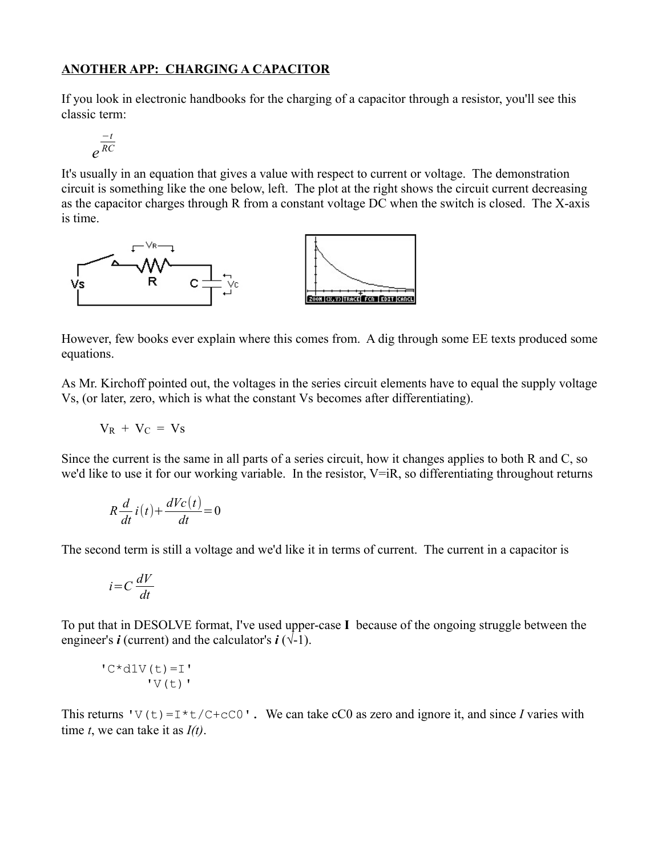# **ANOTHER APP: CHARGING A CAPACITOR**

If you look in electronic handbooks for the charging of a capacitor through a resistor, you'll see this classic term:

$$
e^{\frac{-t}{RC}}
$$

It's usually in an equation that gives a value with respect to current or voltage. The demonstration circuit is something like the one below, left. The plot at the right shows the circuit current decreasing as the capacitor charges through R from a constant voltage DC when the switch is closed. The X-axis is time.



However, few books ever explain where this comes from. A dig through some EE texts produced some equations.

As Mr. Kirchoff pointed out, the voltages in the series circuit elements have to equal the supply voltage Vs, (or later, zero, which is what the constant Vs becomes after differentiating).

$$
V_R + V_C = V_S
$$

Since the current is the same in all parts of a series circuit, how it changes applies to both R and C, so we'd like to use it for our working variable. In the resistor, V=iR, so differentiating throughout returns

$$
R\frac{d}{dt}i(t) + \frac{dVc(t)}{dt} = 0
$$

The second term is still a voltage and we'd like it in terms of current. The current in a capacitor is

$$
i = C \frac{dV}{dt}
$$

To put that in DESOLVE format, I've used upper-case **I** because of the ongoing struggle between the engineer's  $\boldsymbol{i}$  (current) and the calculator's  $\boldsymbol{i}$  ( $\sqrt{-1}$ ).

$$
"C*dlV(t)=I"
$$
  
'V(t)

This returns 'V(t)=I\*t/C+cC0'. We can take cC0 as zero and ignore it, and since *I* varies with time *t*, we can take it as *I(t)*.